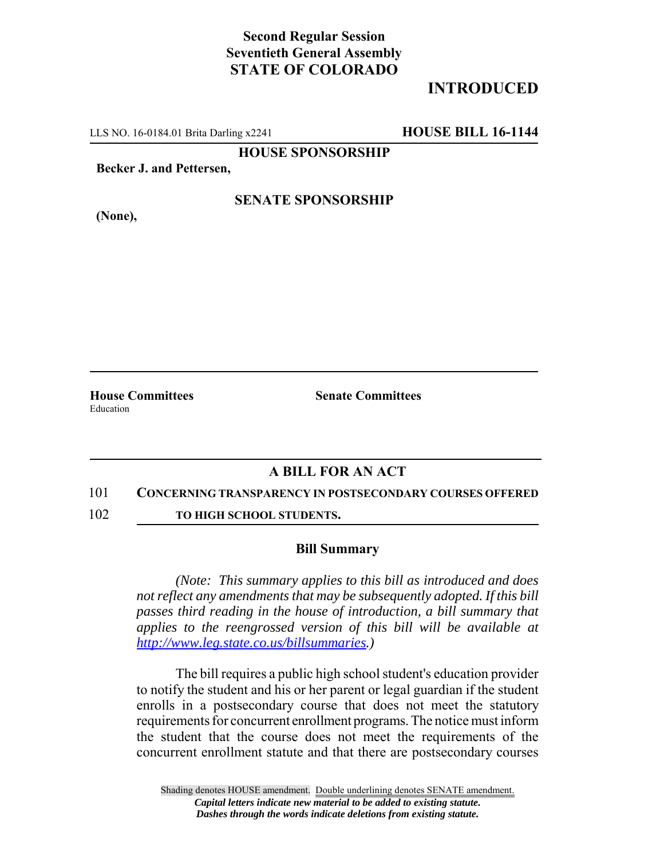## **Second Regular Session Seventieth General Assembly STATE OF COLORADO**

# **INTRODUCED**

LLS NO. 16-0184.01 Brita Darling x2241 **HOUSE BILL 16-1144**

**HOUSE SPONSORSHIP**

**Becker J. and Pettersen,**

**(None),**

**SENATE SPONSORSHIP**

Education

**House Committees Senate Committees** 

### **A BILL FOR AN ACT**

#### 101 **CONCERNING TRANSPARENCY IN POSTSECONDARY COURSES OFFERED**

102 **TO HIGH SCHOOL STUDENTS.** 

### **Bill Summary**

*(Note: This summary applies to this bill as introduced and does not reflect any amendments that may be subsequently adopted. If this bill passes third reading in the house of introduction, a bill summary that applies to the reengrossed version of this bill will be available at http://www.leg.state.co.us/billsummaries.)*

The bill requires a public high school student's education provider to notify the student and his or her parent or legal guardian if the student enrolls in a postsecondary course that does not meet the statutory requirements for concurrent enrollment programs. The notice must inform the student that the course does not meet the requirements of the concurrent enrollment statute and that there are postsecondary courses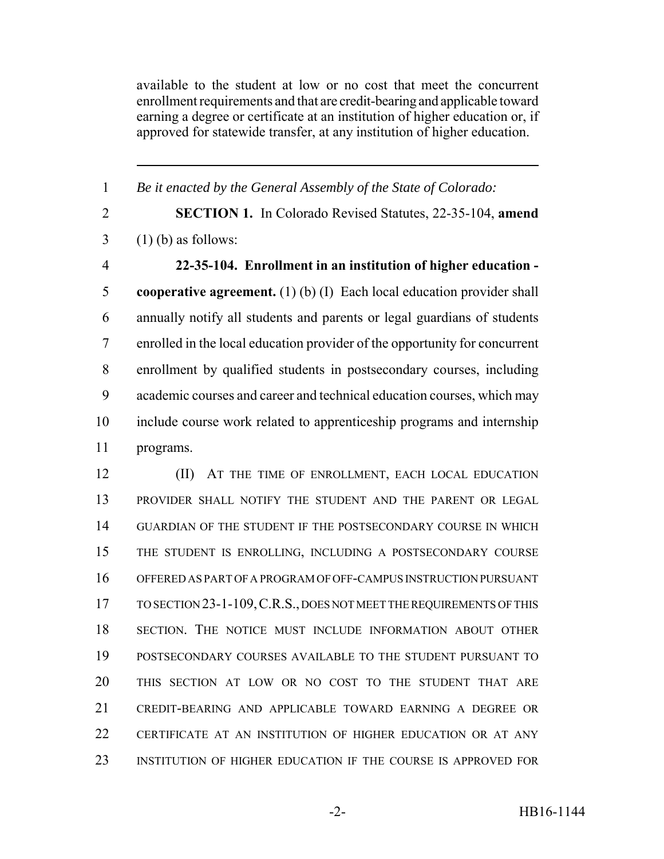available to the student at low or no cost that meet the concurrent enrollment requirements and that are credit-bearing and applicable toward earning a degree or certificate at an institution of higher education or, if approved for statewide transfer, at any institution of higher education.

 *Be it enacted by the General Assembly of the State of Colorado:* **SECTION 1.** In Colorado Revised Statutes, 22-35-104, **amend**  $3 \quad (1)$  (b) as follows: **22-35-104. Enrollment in an institution of higher education - cooperative agreement.** (1) (b) (I) Each local education provider shall annually notify all students and parents or legal guardians of students enrolled in the local education provider of the opportunity for concurrent enrollment by qualified students in postsecondary courses, including academic courses and career and technical education courses, which may include course work related to apprenticeship programs and internship programs. **(II)** AT THE TIME OF ENROLLMENT, EACH LOCAL EDUCATION PROVIDER SHALL NOTIFY THE STUDENT AND THE PARENT OR LEGAL GUARDIAN OF THE STUDENT IF THE POSTSECONDARY COURSE IN WHICH THE STUDENT IS ENROLLING, INCLUDING A POSTSECONDARY COURSE OFFERED AS PART OF A PROGRAM OF OFF-CAMPUS INSTRUCTION PURSUANT TO SECTION 23-1-109,C.R.S., DOES NOT MEET THE REQUIREMENTS OF THIS SECTION. THE NOTICE MUST INCLUDE INFORMATION ABOUT OTHER POSTSECONDARY COURSES AVAILABLE TO THE STUDENT PURSUANT TO THIS SECTION AT LOW OR NO COST TO THE STUDENT THAT ARE CREDIT-BEARING AND APPLICABLE TOWARD EARNING A DEGREE OR CERTIFICATE AT AN INSTITUTION OF HIGHER EDUCATION OR AT ANY

INSTITUTION OF HIGHER EDUCATION IF THE COURSE IS APPROVED FOR